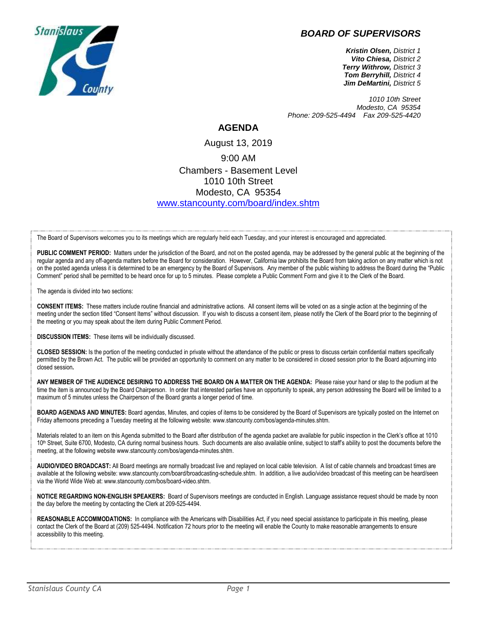## *BOARD OF SUPERVISORS*



*Kristin Olsen, District 1 Vito Chiesa, District 2 Terry Withrow, District 3 Tom Berryhill, District 4 Jim DeMartini, District 5*

*1010 10th Street Modesto, CA 95354 Phone: 209-525-4494 Fax 209-525-4420*

## **AGENDA**

## August 13, 2019 9:00 AM Chambers - Basement Level 1010 10th Street Modesto, CA 95354 [www.stancounty.com/board/index.shtm](http://www.stancounty.com/board/index.shtm)

The Board of Supervisors welcomes you to its meetings which are regularly held each Tuesday, and your interest is encouraged and appreciated.

PUBLIC COMMENT PERIOD: Matters under the jurisdiction of the Board, and not on the posted agenda, may be addressed by the general public at the beginning of the regular agenda and any off-agenda matters before the Board for consideration. However, California law prohibits the Board from taking action on any matter which is not on the posted agenda unless it is determined to be an emergency by the Board of Supervisors. Any member of the public wishing to address the Board during the "Public Comment" period shall be permitted to be heard once for up to 5 minutes. Please complete a Public Comment Form and give it to the Clerk of the Board.

The agenda is divided into two sections:

**CONSENT ITEMS:** These matters include routine financial and administrative actions. All consent items will be voted on as a single action at the beginning of the meeting under the section titled "Consent Items" without discussion. If you wish to discuss a consent item, please notify the Clerk of the Board prior to the beginning of the meeting or you may speak about the item during Public Comment Period.

**DISCUSSION ITEMS:** These items will be individually discussed.

**CLOSED SESSION:** Is the portion of the meeting conducted in private without the attendance of the public or press to discuss certain confidential matters specifically permitted by the Brown Act. The public will be provided an opportunity to comment on any matter to be considered in closed session prior to the Board adjourning into closed session**.**

**ANY MEMBER OF THE AUDIENCE DESIRING TO ADDRESS THE BOARD ON A MATTER ON THE AGENDA:** Please raise your hand or step to the podium at the time the item is announced by the Board Chairperson. In order that interested parties have an opportunity to speak, any person addressing the Board will be limited to a maximum of 5 minutes unless the Chairperson of the Board grants a longer period of time.

**BOARD AGENDAS AND MINUTES:** Board agendas, Minutes, and copies of items to be considered by the Board of Supervisors are typically posted on the Internet on Friday afternoons preceding a Tuesday meeting at the following website: www.stancounty.com/bos/agenda-minutes.shtm.

Materials related to an item on this Agenda submitted to the Board after distribution of the agenda packet are available for public inspection in the Clerk's office at 1010 10<sup>th</sup> Street, Suite 6700, Modesto, CA during normal business hours. Such documents are also available online, subject to staff's ability to post the documents before the meeting, at the following website www.stancounty.com/bos/agenda-minutes.shtm.

**AUDIO/VIDEO BROADCAST:** All Board meetings are normally broadcast live and replayed on local cable television. A list of cable channels and broadcast times are available at the following website: www.stancounty.com/board/broadcasting-schedule.shtm. In addition, a live audio/video broadcast of this meeting can be heard/seen via the World Wide Web at: www.stancounty.com/bos/board-video.shtm.

**NOTICE REGARDING NON-ENGLISH SPEAKERS:** Board of Supervisors meetings are conducted in English. Language assistance request should be made by noon the day before the meeting by contacting the Clerk at 209-525-4494.

**REASONABLE ACCOMMODATIONS:** In compliance with the Americans with Disabilities Act, if you need special assistance to participate in this meeting, please contact the Clerk of the Board at (209) 525-4494. Notification 72 hours prior to the meeting will enable the County to make reasonable arrangements to ensure accessibility to this meeting.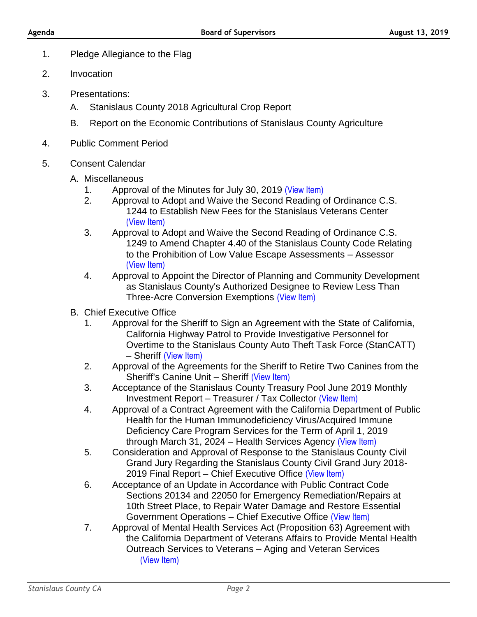- 1. Pledge Allegiance to the Flag
- 2. Invocation
- 3. Presentations:
	- A. Stanislaus County 2018 Agricultural Crop Report
	- B. Report on the Economic Contributions of Stanislaus County Agriculture
- 4. Public Comment Period
- 5. Consent Calendar
	- A. Miscellaneous
		- 1. Approval of the Minutes for July 30, 2019 [\(View Item\)](http://stancounty.com/bos/minutes/2019/min07-30-19.pdf)
		- 2. Approval to Adopt and Waive the Second Reading of Ordinance C.S. 1244 to Establish New Fees for the Stanislaus Veterans Center [\(View Item\)](http://stancounty.com/bos/agenda/2019/20190813/A02.pdf)
		- 3. Approval to Adopt and Waive the Second Reading of Ordinance C.S. 1249 to Amend Chapter 4.40 of the Stanislaus County Code Relating to the Prohibition of Low Value Escape Assessments – Assessor [\(View Item\)](http://stancounty.com/bos/agenda/2019/20190813/A03.pdf)
		- 4. Approval to Appoint the Director of Planning and Community Development as Stanislaus County's Authorized Designee to Review Less Than Three-Acre Conversion Exemptions [\(View Item\)](http://stancounty.com/bos/agenda/2019/20190813/A04.pdf)
	- B. Chief Executive Office
		- 1. Approval for the Sheriff to Sign an Agreement with the State of California, California Highway Patrol to Provide Investigative Personnel for Overtime to the Stanislaus County Auto Theft Task Force (StanCATT) – Sheriff [\(View Item\)](http://stancounty.com/bos/agenda/2019/20190813/B01.pdf)
		- 2. Approval of the Agreements for the Sheriff to Retire Two Canines from the Sheriff's Canine Unit – Sheriff [\(View Item\)](http://stancounty.com/bos/agenda/2019/20190813/B02.pdf)
		- 3. Acceptance of the Stanislaus County Treasury Pool June 2019 Monthly Investment Report – Treasurer / Tax Collector [\(View Item\)](http://stancounty.com/bos/agenda/2019/20190813/B03.pdf)
		- 4. Approval of a Contract Agreement with the California Department of Public Health for the Human Immunodeficiency Virus/Acquired Immune Deficiency Care Program Services for the Term of April 1, 2019 through March 31, 2024 – Health Services Agency [\(View Item\)](http://stancounty.com/bos/agenda/2019/20190813/B04.pdf)
		- 5. Consideration and Approval of Response to the Stanislaus County Civil Grand Jury Regarding the Stanislaus County Civil Grand Jury 2018- 2019 Final Report – Chief Executive Office [\(View Item\)](http://stancounty.com/bos/agenda/2019/20190813/B05.pdf)
		- 6. Acceptance of an Update in Accordance with Public Contract Code Sections 20134 and 22050 for Emergency Remediation/Repairs at 10th Street Place, to Repair Water Damage and Restore Essential Government Operations – Chief Executive Office [\(View Item\)](http://stancounty.com/bos/agenda/2019/20190813/B06.pdf)
		- 7. Approval of Mental Health Services Act (Proposition 63) Agreement with the California Department of Veterans Affairs to Provide Mental Health Outreach Services to Veterans – Aging and Veteran Services [\(View Item\)](http://stancounty.com/bos/agenda/2019/20190813/B07.pdf)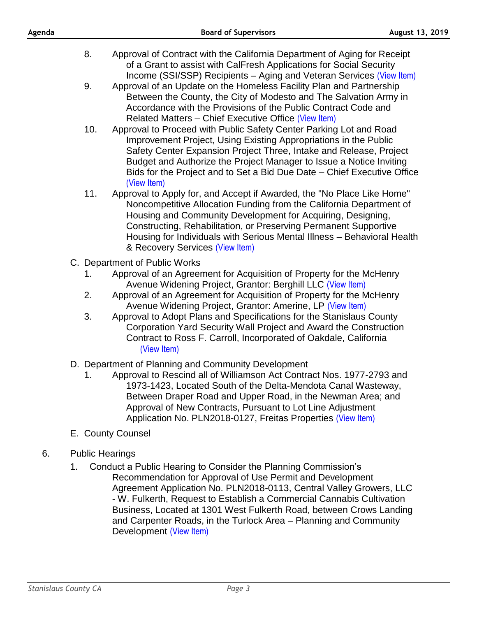- 8. Approval of Contract with the California Department of Aging for Receipt of a Grant to assist with CalFresh Applications for Social Security Income (SSI/SSP) Recipients – Aging and Veteran Services [\(View Item\)](http://stancounty.com/bos/agenda/2019/20190813/B08.pdf)
- 9. Approval of an Update on the Homeless Facility Plan and Partnership Between the County, the City of Modesto and The Salvation Army in Accordance with the Provisions of the Public Contract Code and Related Matters – Chief Executive Office [\(View Item\)](http://stancounty.com/bos/agenda/2019/20190813/B09.pdf)
- 10. Approval to Proceed with Public Safety Center Parking Lot and Road Improvement Project, Using Existing Appropriations in the Public Safety Center Expansion Project Three, Intake and Release, Project Budget and Authorize the Project Manager to Issue a Notice Inviting Bids for the Project and to Set a Bid Due Date – Chief Executive Office [\(View Item\)](http://stancounty.com/bos/agenda/2019/20190813/B10.pdf)
- 11. Approval to Apply for, and Accept if Awarded, the "No Place Like Home" Noncompetitive Allocation Funding from the California Department of Housing and Community Development for Acquiring, Designing, Constructing, Rehabilitation, or Preserving Permanent Supportive Housing for Individuals with Serious Mental Illness – Behavioral Health & Recovery Services [\(View Item\)](http://stancounty.com/bos/agenda/2019/20190813/B11.pdf)
- C. Department of Public Works
	- 1. Approval of an Agreement for Acquisition of Property for the McHenry Avenue Widening Project, Grantor: Berghill LLC [\(View Item\)](http://stancounty.com/bos/agenda/2019/20190813/C01.pdf)
	- 2. Approval of an Agreement for Acquisition of Property for the McHenry Avenue Widening Project, Grantor: Amerine, LP [\(View Item\)](http://stancounty.com/bos/agenda/2019/20190813/C02.pdf)
	- 3. Approval to Adopt Plans and Specifications for the Stanislaus County Corporation Yard Security Wall Project and Award the Construction Contract to Ross F. Carroll, Incorporated of Oakdale, California [\(View Item\)](http://stancounty.com/bos/agenda/2019/20190813/C03.pdf)
- D. Department of Planning and Community Development
	- 1. Approval to Rescind all of Williamson Act Contract Nos. 1977-2793 and 1973-1423, Located South of the Delta-Mendota Canal Wasteway, Between Draper Road and Upper Road, in the Newman Area; and Approval of New Contracts, Pursuant to Lot Line Adjustment Application No. PLN2018-0127, Freitas Properties [\(View Item\)](http://stancounty.com/bos/agenda/2019/20190813/D01.pdf)
- E. County Counsel
- 6. Public Hearings
	- 1. Conduct a Public Hearing to Consider the Planning Commission's Recommendation for Approval of Use Permit and Development Agreement Application No. PLN2018-0113, Central Valley Growers, LLC - W. Fulkerth, Request to Establish a Commercial Cannabis Cultivation Business, Located at 1301 West Fulkerth Road, between Crows Landing and Carpenter Roads, in the Turlock Area – Planning and Community Development [\(View Item\)](http://stancounty.com/bos/agenda/2019/20190813/PH01.pdf)